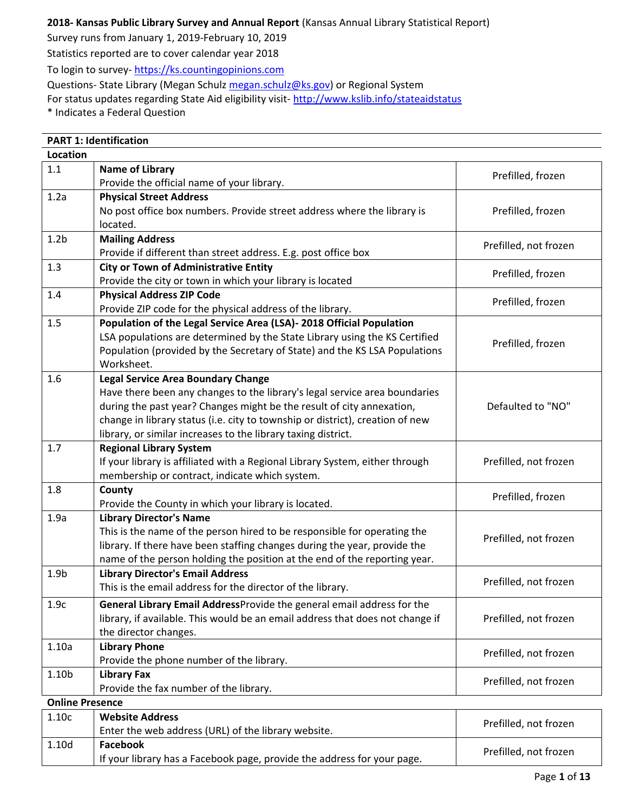# **2018- Kansas Public Library Survey and Annual Report** (Kansas Annual Library Statistical Report)

Survey runs from January 1, 2019-February 10, 2019

Statistics reported are to cover calendar year 2018

To login to survey- [https://ks.countingopinions.com](https://ks.countingopinions.com/)

Questions- State Library (Megan Schulz [megan.schulz@ks.gov\)](mailto:megan.schulz@ks.gov) or Regional System

For status updates regarding State Aid eligibility visit- <http://www.kslib.info/stateaidstatus>

\* Indicates a Federal Question

| <b>PART 1: Identification</b> |                                                                               |                       |
|-------------------------------|-------------------------------------------------------------------------------|-----------------------|
| <b>Location</b>               |                                                                               |                       |
| 1.1                           | <b>Name of Library</b>                                                        | Prefilled, frozen     |
|                               | Provide the official name of your library.                                    |                       |
| 1.2a                          | <b>Physical Street Address</b>                                                |                       |
|                               | No post office box numbers. Provide street address where the library is       | Prefilled, frozen     |
|                               | located.                                                                      |                       |
| 1.2 <sub>b</sub>              | <b>Mailing Address</b>                                                        |                       |
|                               | Provide if different than street address. E.g. post office box                | Prefilled, not frozen |
| 1.3                           | <b>City or Town of Administrative Entity</b>                                  |                       |
|                               | Provide the city or town in which your library is located                     | Prefilled, frozen     |
| 1.4                           | <b>Physical Address ZIP Code</b>                                              |                       |
|                               | Provide ZIP code for the physical address of the library.                     | Prefilled, frozen     |
| 1.5                           | Population of the Legal Service Area (LSA)- 2018 Official Population          |                       |
|                               | LSA populations are determined by the State Library using the KS Certified    | Prefilled, frozen     |
|                               | Population (provided by the Secretary of State) and the KS LSA Populations    |                       |
|                               | Worksheet.                                                                    |                       |
| 1.6                           | <b>Legal Service Area Boundary Change</b>                                     |                       |
|                               | Have there been any changes to the library's legal service area boundaries    |                       |
|                               | during the past year? Changes might be the result of city annexation,         | Defaulted to "NO"     |
|                               | change in library status (i.e. city to township or district), creation of new |                       |
|                               | library, or similar increases to the library taxing district.                 |                       |
| 1.7                           | <b>Regional Library System</b>                                                |                       |
|                               | If your library is affiliated with a Regional Library System, either through  | Prefilled, not frozen |
|                               | membership or contract, indicate which system.                                |                       |
| 1.8                           | County                                                                        | Prefilled, frozen     |
|                               | Provide the County in which your library is located.                          |                       |
| 1.9a                          | <b>Library Director's Name</b>                                                |                       |
|                               | This is the name of the person hired to be responsible for operating the      | Prefilled, not frozen |
|                               | library. If there have been staffing changes during the year, provide the     |                       |
|                               | name of the person holding the position at the end of the reporting year.     |                       |
| 1.9 <sub>b</sub>              | <b>Library Director's Email Address</b>                                       | Prefilled, not frozen |
|                               | This is the email address for the director of the library.                    |                       |
| 1.9c                          | General Library Email AddressProvide the general email address for the        |                       |
|                               | library, if available. This would be an email address that does not change if | Prefilled, not frozen |
|                               | the director changes.                                                         |                       |
| 1.10a                         | <b>Library Phone</b>                                                          | Prefilled, not frozen |
|                               | Provide the phone number of the library.                                      |                       |
| 1.10b                         | <b>Library Fax</b>                                                            | Prefilled, not frozen |
|                               | Provide the fax number of the library.                                        |                       |
| <b>Online Presence</b>        |                                                                               |                       |
| 1.10c                         | <b>Website Address</b>                                                        | Prefilled, not frozen |
|                               | Enter the web address (URL) of the library website.                           |                       |
| 1.10 <sub>d</sub>             | Facebook                                                                      | Prefilled, not frozen |
|                               | If your library has a Facebook page, provide the address for your page.       |                       |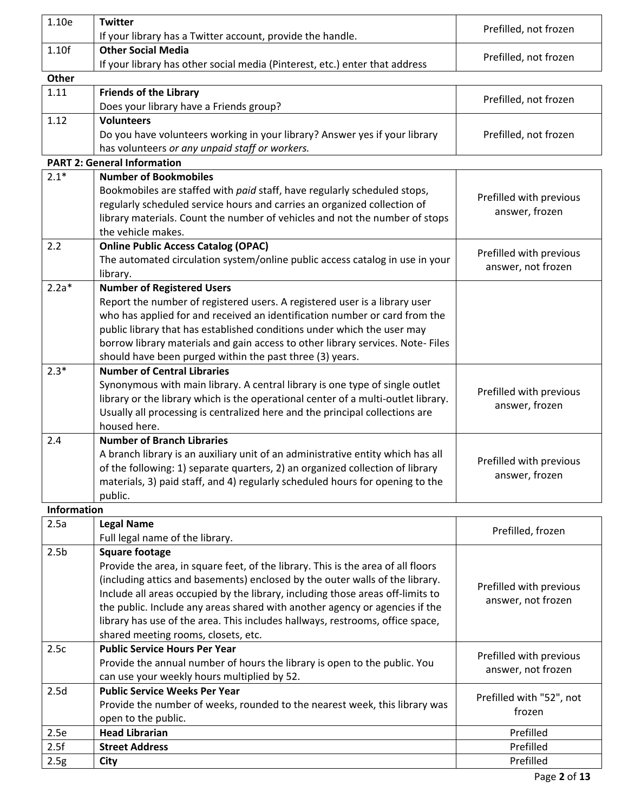| 1.10e              | <b>Twitter</b>                                                                                                       | Prefilled, not frozen    |
|--------------------|----------------------------------------------------------------------------------------------------------------------|--------------------------|
|                    | If your library has a Twitter account, provide the handle.                                                           |                          |
| 1.10f              | <b>Other Social Media</b>                                                                                            | Prefilled, not frozen    |
|                    | If your library has other social media (Pinterest, etc.) enter that address                                          |                          |
| Other              |                                                                                                                      |                          |
| 1.11               | <b>Friends of the Library</b><br>Does your library have a Friends group?                                             | Prefilled, not frozen    |
| 1.12               | <b>Volunteers</b>                                                                                                    |                          |
|                    | Do you have volunteers working in your library? Answer yes if your library                                           | Prefilled, not frozen    |
|                    | has volunteers or any unpaid staff or workers.                                                                       |                          |
|                    | <b>PART 2: General Information</b>                                                                                   |                          |
| $2.1*$             | <b>Number of Bookmobiles</b>                                                                                         |                          |
|                    | Bookmobiles are staffed with paid staff, have regularly scheduled stops,                                             |                          |
|                    | regularly scheduled service hours and carries an organized collection of                                             | Prefilled with previous  |
|                    | library materials. Count the number of vehicles and not the number of stops                                          | answer, frozen           |
|                    | the vehicle makes.                                                                                                   |                          |
| 2.2                | <b>Online Public Access Catalog (OPAC)</b>                                                                           |                          |
|                    | The automated circulation system/online public access catalog in use in your                                         | Prefilled with previous  |
|                    | library.                                                                                                             | answer, not frozen       |
| $2.2a*$            | <b>Number of Registered Users</b>                                                                                    |                          |
|                    | Report the number of registered users. A registered user is a library user                                           |                          |
|                    | who has applied for and received an identification number or card from the                                           |                          |
|                    | public library that has established conditions under which the user may                                              |                          |
|                    | borrow library materials and gain access to other library services. Note-Files                                       |                          |
|                    | should have been purged within the past three (3) years.                                                             |                          |
| $2.3*$             | <b>Number of Central Libraries</b>                                                                                   |                          |
|                    | Synonymous with main library. A central library is one type of single outlet                                         | Prefilled with previous  |
|                    | library or the library which is the operational center of a multi-outlet library.                                    | answer, frozen           |
|                    | Usually all processing is centralized here and the principal collections are                                         |                          |
|                    | housed here.                                                                                                         |                          |
| 2.4                | <b>Number of Branch Libraries</b><br>A branch library is an auxiliary unit of an administrative entity which has all |                          |
|                    | of the following: 1) separate quarters, 2) an organized collection of library                                        | Prefilled with previous  |
|                    | materials, 3) paid staff, and 4) regularly scheduled hours for opening to the                                        | answer, frozen           |
|                    | public.                                                                                                              |                          |
| <b>Information</b> |                                                                                                                      |                          |
| 2.5a               | <b>Legal Name</b>                                                                                                    |                          |
|                    | Full legal name of the library.                                                                                      | Prefilled, frozen        |
| 2.5 <sub>b</sub>   | <b>Square footage</b>                                                                                                |                          |
|                    | Provide the area, in square feet, of the library. This is the area of all floors                                     |                          |
|                    | (including attics and basements) enclosed by the outer walls of the library.                                         |                          |
|                    | Include all areas occupied by the library, including those areas off-limits to                                       | Prefilled with previous  |
|                    | the public. Include any areas shared with another agency or agencies if the                                          | answer, not frozen       |
|                    | library has use of the area. This includes hallways, restrooms, office space,                                        |                          |
|                    | shared meeting rooms, closets, etc.                                                                                  |                          |
| 2.5c               | <b>Public Service Hours Per Year</b>                                                                                 | Prefilled with previous  |
|                    | Provide the annual number of hours the library is open to the public. You                                            | answer, not frozen       |
|                    | can use your weekly hours multiplied by 52.                                                                          |                          |
| 2.5d               | <b>Public Service Weeks Per Year</b>                                                                                 | Prefilled with "52", not |
|                    | Provide the number of weeks, rounded to the nearest week, this library was                                           | frozen                   |
|                    | open to the public.                                                                                                  |                          |
| 2.5e               | <b>Head Librarian</b>                                                                                                | Prefilled                |
| 2.5f               | <b>Street Address</b>                                                                                                | Prefilled                |
| 2.5g               | <b>City</b>                                                                                                          | Prefilled                |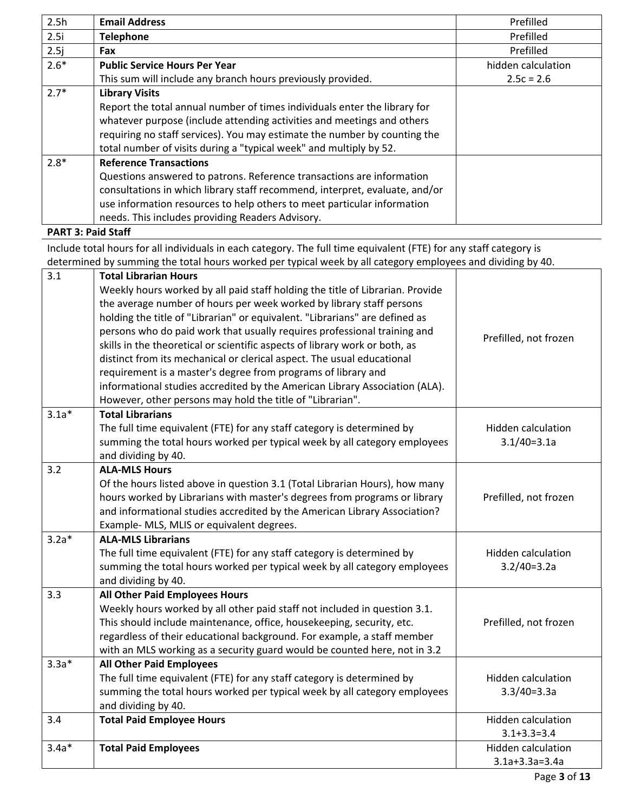| 2.5h   | <b>Email Address</b>                                                        | Prefilled          |
|--------|-----------------------------------------------------------------------------|--------------------|
| 2.5i   | <b>Telephone</b>                                                            | Prefilled          |
| 2.5j   | Fax                                                                         | Prefilled          |
| $2.6*$ | <b>Public Service Hours Per Year</b>                                        | hidden calculation |
|        | This sum will include any branch hours previously provided.                 | $2.5c = 2.6$       |
| $2.7*$ | <b>Library Visits</b>                                                       |                    |
|        | Report the total annual number of times individuals enter the library for   |                    |
|        | whatever purpose (include attending activities and meetings and others      |                    |
|        | requiring no staff services). You may estimate the number by counting the   |                    |
|        | total number of visits during a "typical week" and multiply by 52.          |                    |
| $2.8*$ | <b>Reference Transactions</b>                                               |                    |
|        | Questions answered to patrons. Reference transactions are information       |                    |
|        | consultations in which library staff recommend, interpret, evaluate, and/or |                    |
|        | use information resources to help others to meet particular information     |                    |
|        | needs. This includes providing Readers Advisory.                            |                    |
|        | .                                                                           |                    |

**PART 3: Paid Staff**

Include total hours for all individuals in each category. The full time equivalent (FTE) for any staff category is determined by summing the total hours worked per typical week by all category employees and dividing by 40.

| 3.1     | <b>Total Librarian Hours</b>                                                  |                           |
|---------|-------------------------------------------------------------------------------|---------------------------|
|         | Weekly hours worked by all paid staff holding the title of Librarian. Provide |                           |
|         | the average number of hours per week worked by library staff persons          |                           |
|         | holding the title of "Librarian" or equivalent. "Librarians" are defined as   |                           |
|         | persons who do paid work that usually requires professional training and      | Prefilled, not frozen     |
|         | skills in the theoretical or scientific aspects of library work or both, as   |                           |
|         | distinct from its mechanical or clerical aspect. The usual educational        |                           |
|         | requirement is a master's degree from programs of library and                 |                           |
|         | informational studies accredited by the American Library Association (ALA).   |                           |
|         | However, other persons may hold the title of "Librarian".                     |                           |
| $3.1a*$ | <b>Total Librarians</b>                                                       |                           |
|         | The full time equivalent (FTE) for any staff category is determined by        | <b>Hidden calculation</b> |
|         | summing the total hours worked per typical week by all category employees     | $3.1/40=3.1a$             |
|         | and dividing by 40.                                                           |                           |
| 3.2     | <b>ALA-MLS Hours</b>                                                          |                           |
|         | Of the hours listed above in question 3.1 (Total Librarian Hours), how many   |                           |
|         | hours worked by Librarians with master's degrees from programs or library     | Prefilled, not frozen     |
|         | and informational studies accredited by the American Library Association?     |                           |
|         | Example- MLS, MLIS or equivalent degrees.                                     |                           |
| $3.2a*$ | <b>ALA-MLS Librarians</b>                                                     |                           |
|         | The full time equivalent (FTE) for any staff category is determined by        | <b>Hidden calculation</b> |
|         | summing the total hours worked per typical week by all category employees     | $3.2/40=3.2a$             |
|         | and dividing by 40.                                                           |                           |
| 3.3     | <b>All Other Paid Employees Hours</b>                                         |                           |
|         | Weekly hours worked by all other paid staff not included in question 3.1.     |                           |
|         | This should include maintenance, office, housekeeping, security, etc.         | Prefilled, not frozen     |
|         | regardless of their educational background. For example, a staff member       |                           |
|         | with an MLS working as a security guard would be counted here, not in 3.2     |                           |
| $3.3a*$ | <b>All Other Paid Employees</b>                                               |                           |
|         | The full time equivalent (FTE) for any staff category is determined by        | <b>Hidden calculation</b> |
|         | summing the total hours worked per typical week by all category employees     | $3.3/40=3.3a$             |
|         | and dividing by 40.                                                           |                           |
| 3.4     | <b>Total Paid Employee Hours</b>                                              | Hidden calculation        |
|         |                                                                               | $3.1 + 3.3 = 3.4$         |
| $3.4a*$ | <b>Total Paid Employees</b>                                                   | Hidden calculation        |
|         |                                                                               | $3.1a+3.3a=3.4a$          |
|         |                                                                               |                           |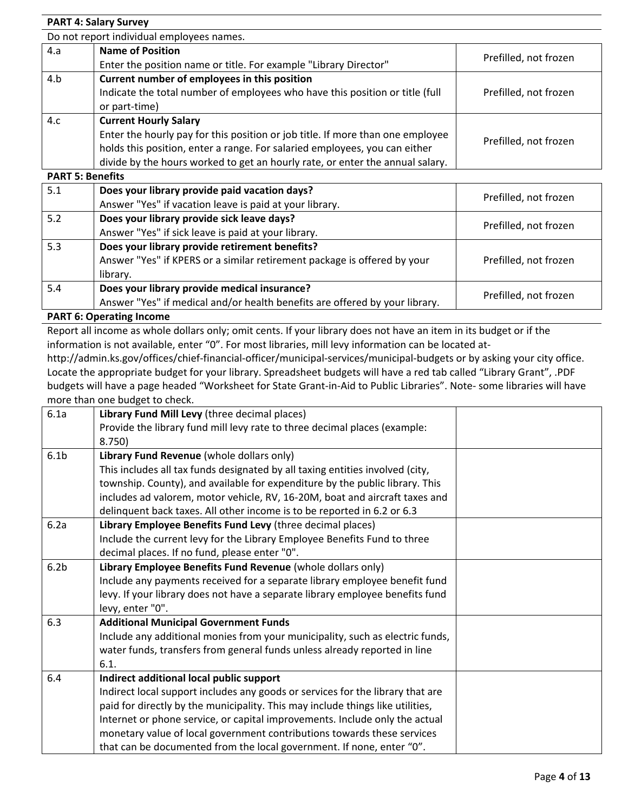|                         | <b>PART 4: Salary Survey</b>                                                   |                       |
|-------------------------|--------------------------------------------------------------------------------|-----------------------|
|                         | Do not report individual employees names.                                      |                       |
| 4.a                     | <b>Name of Position</b>                                                        |                       |
|                         | Enter the position name or title. For example "Library Director"               | Prefilled, not frozen |
| 4.b                     | Current number of employees in this position                                   |                       |
|                         | Indicate the total number of employees who have this position or title (full   | Prefilled, not frozen |
|                         | or part-time)                                                                  |                       |
| 4.c                     | <b>Current Hourly Salary</b>                                                   |                       |
|                         | Enter the hourly pay for this position or job title. If more than one employee | Prefilled, not frozen |
|                         | holds this position, enter a range. For salaried employees, you can either     |                       |
|                         | divide by the hours worked to get an hourly rate, or enter the annual salary.  |                       |
| <b>PART 5: Benefits</b> |                                                                                |                       |
| 5.1                     | Does your library provide paid vacation days?                                  | Prefilled, not frozen |
|                         | Answer "Yes" if vacation leave is paid at your library.                        |                       |
| 5.2                     | Does your library provide sick leave days?                                     | Prefilled, not frozen |
|                         | Answer "Yes" if sick leave is paid at your library.                            |                       |

| 5.3  | Does your library provide retirement benefits?<br>Answer "Yes" if KPERS or a similar retirement package is offered by your<br>library. | Prefilled, not frozen |
|------|----------------------------------------------------------------------------------------------------------------------------------------|-----------------------|
| -5.4 | Does your library provide medical insurance?<br>Answer "Yes" if medical and/or health benefits are offered by your library.            | Prefilled, not frozen |
|      |                                                                                                                                        |                       |

### **PART 6: Operating Income**

Report all income as whole dollars only; omit cents. If your library does not have an item in its budget or if the information is not available, enter "0". For most libraries, mill levy information can be located at-

http://admin.ks.gov/offices/chief-financial-officer/municipal-services/municipal-budgets or by asking your city office. Locate the appropriate budget for your library. Spreadsheet budgets will have a red tab called "Library Grant", .PDF budgets will have a page headed "Worksheet for State Grant-in-Aid to Public Libraries". Note- some libraries will have more than one budget to check.

| Library Fund Revenue (whole dollars only)                                      |                                                                                                                                     |
|--------------------------------------------------------------------------------|-------------------------------------------------------------------------------------------------------------------------------------|
| This includes all tax funds designated by all taxing entities involved (city,  |                                                                                                                                     |
| township. County), and available for expenditure by the public library. This   |                                                                                                                                     |
| includes ad valorem, motor vehicle, RV, 16-20M, boat and aircraft taxes and    |                                                                                                                                     |
| delinquent back taxes. All other income is to be reported in 6.2 or 6.3        |                                                                                                                                     |
| Library Employee Benefits Fund Levy (three decimal places)                     |                                                                                                                                     |
| Include the current levy for the Library Employee Benefits Fund to three       |                                                                                                                                     |
| decimal places. If no fund, please enter "0".                                  |                                                                                                                                     |
| Library Employee Benefits Fund Revenue (whole dollars only)                    |                                                                                                                                     |
| Include any payments received for a separate library employee benefit fund     |                                                                                                                                     |
| levy. If your library does not have a separate library employee benefits fund  |                                                                                                                                     |
| levy, enter "0".                                                               |                                                                                                                                     |
| <b>Additional Municipal Government Funds</b>                                   |                                                                                                                                     |
| Include any additional monies from your municipality, such as electric funds,  |                                                                                                                                     |
| water funds, transfers from general funds unless already reported in line      |                                                                                                                                     |
| 6.1.                                                                           |                                                                                                                                     |
| Indirect additional local public support                                       |                                                                                                                                     |
| Indirect local support includes any goods or services for the library that are |                                                                                                                                     |
| paid for directly by the municipality. This may include things like utilities, |                                                                                                                                     |
| Internet or phone service, or capital improvements. Include only the actual    |                                                                                                                                     |
| monetary value of local government contributions towards these services        |                                                                                                                                     |
| that can be documented from the local government. If none, enter "0".          |                                                                                                                                     |
|                                                                                | Library Fund Mill Levy (three decimal places)<br>Provide the library fund mill levy rate to three decimal places (example:<br>8.750 |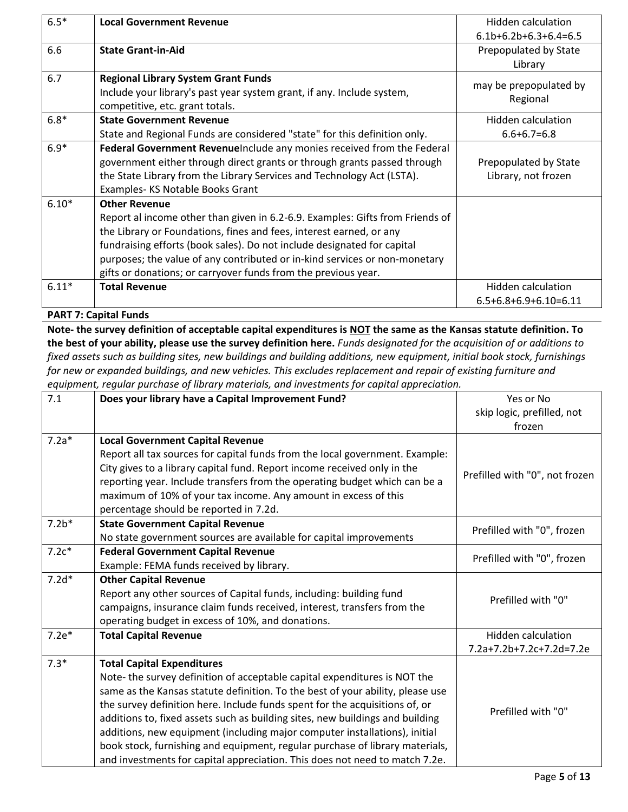| $6.5*$  | <b>Local Government Revenue</b>                                               | Hidden calculation      |
|---------|-------------------------------------------------------------------------------|-------------------------|
|         |                                                                               | $6.1b+6.2b+6.3+6.4=6.5$ |
| 6.6     | <b>State Grant-in-Aid</b>                                                     | Prepopulated by State   |
|         |                                                                               | Library                 |
| 6.7     | <b>Regional Library System Grant Funds</b>                                    |                         |
|         | Include your library's past year system grant, if any. Include system,        | may be prepopulated by  |
|         | competitive, etc. grant totals.                                               | Regional                |
| $6.8*$  | <b>State Government Revenue</b>                                               | Hidden calculation      |
|         | State and Regional Funds are considered "state" for this definition only.     | $6.6 + 6.7 = 6.8$       |
| $6.9*$  | Federal Government RevenueInclude any monies received from the Federal        |                         |
|         | government either through direct grants or through grants passed through      | Prepopulated by State   |
|         | the State Library from the Library Services and Technology Act (LSTA).        | Library, not frozen     |
|         | Examples-KS Notable Books Grant                                               |                         |
| $6.10*$ | <b>Other Revenue</b>                                                          |                         |
|         | Report al income other than given in 6.2-6.9. Examples: Gifts from Friends of |                         |
|         | the Library or Foundations, fines and fees, interest earned, or any           |                         |
|         | fundraising efforts (book sales). Do not include designated for capital       |                         |
|         | purposes; the value of any contributed or in-kind services or non-monetary    |                         |
|         | gifts or donations; or carryover funds from the previous year.                |                         |
| $6.11*$ | <b>Total Revenue</b>                                                          | Hidden calculation      |
|         |                                                                               | $6.5+6.8+6.9+6.10=6.11$ |

**PART 7: Capital Funds**

**Note- the survey definition of acceptable capital expenditures is NOT the same as the Kansas statute definition. To the best of your ability, please use the survey definition here.** *Funds designated for the acquisition of or additions to fixed assets such as building sites, new buildings and building additions, new equipment, initial book stock, furnishings for new or expanded buildings, and new vehicles. This excludes replacement and repair of existing furniture and equipment, regular purchase of library materials, and investments for capital appreciation.*

| 7.1     | equipment, regular parenase of norury materials, and investments for capital appreciation<br>Does your library have a Capital Improvement Fund? | Yes or No                      |
|---------|-------------------------------------------------------------------------------------------------------------------------------------------------|--------------------------------|
|         |                                                                                                                                                 | skip logic, prefilled, not     |
|         |                                                                                                                                                 | frozen                         |
| $7.2a*$ | <b>Local Government Capital Revenue</b>                                                                                                         |                                |
|         | Report all tax sources for capital funds from the local government. Example:                                                                    |                                |
|         | City gives to a library capital fund. Report income received only in the                                                                        | Prefilled with "0", not frozen |
|         | reporting year. Include transfers from the operating budget which can be a                                                                      |                                |
|         | maximum of 10% of your tax income. Any amount in excess of this                                                                                 |                                |
|         | percentage should be reported in 7.2d.                                                                                                          |                                |
| $7.2b*$ | <b>State Government Capital Revenue</b>                                                                                                         | Prefilled with "0", frozen     |
|         | No state government sources are available for capital improvements                                                                              |                                |
| $7.2c*$ | <b>Federal Government Capital Revenue</b>                                                                                                       | Prefilled with "0", frozen     |
|         | Example: FEMA funds received by library.                                                                                                        |                                |
| $7.2d*$ | <b>Other Capital Revenue</b>                                                                                                                    |                                |
|         | Report any other sources of Capital funds, including: building fund                                                                             | Prefilled with "0"             |
|         | campaigns, insurance claim funds received, interest, transfers from the                                                                         |                                |
|         | operating budget in excess of 10%, and donations.                                                                                               |                                |
| $7.2e*$ | <b>Total Capital Revenue</b>                                                                                                                    | <b>Hidden calculation</b>      |
|         |                                                                                                                                                 | 7.2a+7.2b+7.2c+7.2d=7.2e       |
| $7.3*$  | <b>Total Capital Expenditures</b>                                                                                                               |                                |
|         | Note- the survey definition of acceptable capital expenditures is NOT the                                                                       |                                |
|         | same as the Kansas statute definition. To the best of your ability, please use                                                                  |                                |
|         | the survey definition here. Include funds spent for the acquisitions of, or                                                                     | Prefilled with "0"             |
|         | additions to, fixed assets such as building sites, new buildings and building                                                                   |                                |
|         | additions, new equipment (including major computer installations), initial                                                                      |                                |
|         | book stock, furnishing and equipment, regular purchase of library materials,                                                                    |                                |
|         | and investments for capital appreciation. This does not need to match 7.2e.                                                                     |                                |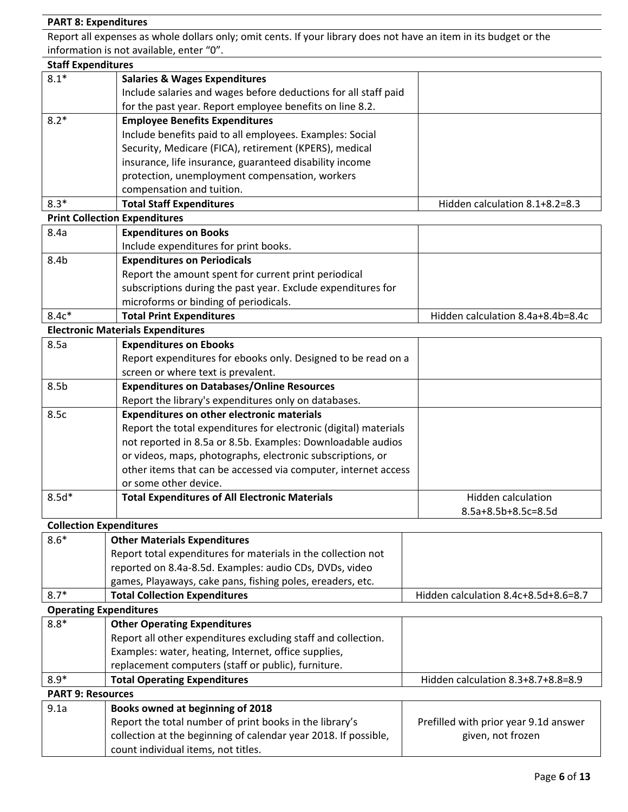# **PART 8: Expenditures**

Report all expenses as whole dollars only; omit cents. If your library does not have an item in its budget or the information is not available, enter "0".

| <b>Staff Expenditures</b>      |                                                                                                        |                                       |
|--------------------------------|--------------------------------------------------------------------------------------------------------|---------------------------------------|
| $8.1*$                         | <b>Salaries &amp; Wages Expenditures</b>                                                               |                                       |
|                                | Include salaries and wages before deductions for all staff paid                                        |                                       |
|                                | for the past year. Report employee benefits on line 8.2.                                               |                                       |
| $8.2*$                         | <b>Employee Benefits Expenditures</b>                                                                  |                                       |
|                                | Include benefits paid to all employees. Examples: Social                                               |                                       |
|                                | Security, Medicare (FICA), retirement (KPERS), medical                                                 |                                       |
|                                | insurance, life insurance, guaranteed disability income                                                |                                       |
|                                | protection, unemployment compensation, workers                                                         |                                       |
|                                | compensation and tuition.                                                                              |                                       |
| $8.3*$                         | <b>Total Staff Expenditures</b>                                                                        | Hidden calculation 8.1+8.2=8.3        |
|                                | <b>Print Collection Expenditures</b>                                                                   |                                       |
| 8.4a                           | <b>Expenditures on Books</b>                                                                           |                                       |
|                                | Include expenditures for print books.                                                                  |                                       |
| 8.4b                           | <b>Expenditures on Periodicals</b>                                                                     |                                       |
|                                | Report the amount spent for current print periodical                                                   |                                       |
|                                | subscriptions during the past year. Exclude expenditures for                                           |                                       |
|                                | microforms or binding of periodicals.                                                                  |                                       |
| $8.4c*$                        | <b>Total Print Expenditures</b>                                                                        | Hidden calculation 8.4a+8.4b=8.4c     |
|                                | <b>Electronic Materials Expenditures</b>                                                               |                                       |
| 8.5a                           | <b>Expenditures on Ebooks</b>                                                                          |                                       |
|                                | Report expenditures for ebooks only. Designed to be read on a                                          |                                       |
|                                | screen or where text is prevalent.                                                                     |                                       |
| 8.5 <sub>b</sub>               | <b>Expenditures on Databases/Online Resources</b>                                                      |                                       |
|                                | Report the library's expenditures only on databases.                                                   |                                       |
| 8.5c                           | <b>Expenditures on other electronic materials</b>                                                      |                                       |
|                                | Report the total expenditures for electronic (digital) materials                                       |                                       |
|                                | not reported in 8.5a or 8.5b. Examples: Downloadable audios                                            |                                       |
|                                | or videos, maps, photographs, electronic subscriptions, or                                             |                                       |
|                                | other items that can be accessed via computer, internet access                                         |                                       |
|                                | or some other device.                                                                                  |                                       |
| $8.5d*$                        | <b>Total Expenditures of All Electronic Materials</b>                                                  | <b>Hidden calculation</b>             |
|                                |                                                                                                        | 8.5a+8.5b+8.5c=8.5d                   |
| <b>Collection Expenditures</b> |                                                                                                        |                                       |
| $8.6*$                         | <b>Other Materials Expenditures</b>                                                                    |                                       |
|                                | Report total expenditures for materials in the collection not                                          |                                       |
|                                | reported on 8.4a-8.5d. Examples: audio CDs, DVDs, video                                                |                                       |
|                                | games, Playaways, cake pans, fishing poles, ereaders, etc.                                             |                                       |
| $8.7*$                         | <b>Total Collection Expenditures</b>                                                                   | Hidden calculation 8.4c+8.5d+8.6=8.7  |
| <b>Operating Expenditures</b>  |                                                                                                        |                                       |
| $8.8*$                         | <b>Other Operating Expenditures</b>                                                                    |                                       |
|                                | Report all other expenditures excluding staff and collection.                                          |                                       |
|                                | Examples: water, heating, Internet, office supplies,                                                   |                                       |
|                                | replacement computers (staff or public), furniture.                                                    |                                       |
| $8.9*$                         | <b>Total Operating Expenditures</b>                                                                    | Hidden calculation 8.3+8.7+8.8=8.9    |
| <b>PART 9: Resources</b>       |                                                                                                        |                                       |
| 9.1a                           | Books owned at beginning of 2018                                                                       |                                       |
|                                | Report the total number of print books in the library's                                                | Prefilled with prior year 9.1d answer |
|                                | collection at the beginning of calendar year 2018. If possible,<br>count individual items, not titles. | given, not frozen                     |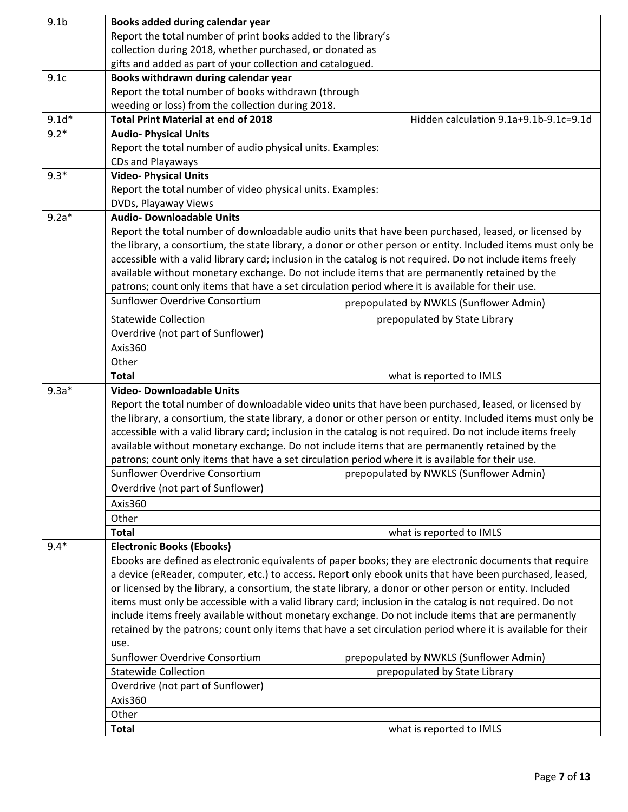| 9.1 <sub>b</sub> | Books added during calendar year                                                                                                                                                                                                                                                                                                                                                                                                             |                                                                                                                                                                                                                      |                                                                                                              |
|------------------|----------------------------------------------------------------------------------------------------------------------------------------------------------------------------------------------------------------------------------------------------------------------------------------------------------------------------------------------------------------------------------------------------------------------------------------------|----------------------------------------------------------------------------------------------------------------------------------------------------------------------------------------------------------------------|--------------------------------------------------------------------------------------------------------------|
|                  | Report the total number of print books added to the library's                                                                                                                                                                                                                                                                                                                                                                                |                                                                                                                                                                                                                      |                                                                                                              |
|                  | collection during 2018, whether purchased, or donated as                                                                                                                                                                                                                                                                                                                                                                                     |                                                                                                                                                                                                                      |                                                                                                              |
|                  | gifts and added as part of your collection and catalogued.                                                                                                                                                                                                                                                                                                                                                                                   |                                                                                                                                                                                                                      |                                                                                                              |
| 9.1c             | Books withdrawn during calendar year                                                                                                                                                                                                                                                                                                                                                                                                         |                                                                                                                                                                                                                      |                                                                                                              |
|                  | Report the total number of books withdrawn (through                                                                                                                                                                                                                                                                                                                                                                                          |                                                                                                                                                                                                                      |                                                                                                              |
|                  | weeding or loss) from the collection during 2018.                                                                                                                                                                                                                                                                                                                                                                                            |                                                                                                                                                                                                                      |                                                                                                              |
| $9.1d*$          | <b>Total Print Material at end of 2018</b>                                                                                                                                                                                                                                                                                                                                                                                                   |                                                                                                                                                                                                                      | Hidden calculation 9.1a+9.1b-9.1c=9.1d                                                                       |
| $9.2*$           | <b>Audio- Physical Units</b>                                                                                                                                                                                                                                                                                                                                                                                                                 |                                                                                                                                                                                                                      |                                                                                                              |
|                  | Report the total number of audio physical units. Examples:                                                                                                                                                                                                                                                                                                                                                                                   |                                                                                                                                                                                                                      |                                                                                                              |
|                  | CDs and Playaways                                                                                                                                                                                                                                                                                                                                                                                                                            |                                                                                                                                                                                                                      |                                                                                                              |
| $9.3*$           | <b>Video- Physical Units</b>                                                                                                                                                                                                                                                                                                                                                                                                                 |                                                                                                                                                                                                                      |                                                                                                              |
|                  | Report the total number of video physical units. Examples:                                                                                                                                                                                                                                                                                                                                                                                   |                                                                                                                                                                                                                      |                                                                                                              |
|                  | DVDs, Playaway Views                                                                                                                                                                                                                                                                                                                                                                                                                         |                                                                                                                                                                                                                      |                                                                                                              |
| $9.2a*$          | <b>Audio- Downloadable Units</b>                                                                                                                                                                                                                                                                                                                                                                                                             |                                                                                                                                                                                                                      |                                                                                                              |
|                  |                                                                                                                                                                                                                                                                                                                                                                                                                                              |                                                                                                                                                                                                                      | Report the total number of downloadable audio units that have been purchased, leased, or licensed by         |
|                  |                                                                                                                                                                                                                                                                                                                                                                                                                                              |                                                                                                                                                                                                                      | the library, a consortium, the state library, a donor or other person or entity. Included items must only be |
|                  | accessible with a valid library card; inclusion in the catalog is not required. Do not include items freely                                                                                                                                                                                                                                                                                                                                  |                                                                                                                                                                                                                      |                                                                                                              |
|                  | available without monetary exchange. Do not include items that are permanently retained by the                                                                                                                                                                                                                                                                                                                                               |                                                                                                                                                                                                                      |                                                                                                              |
|                  | patrons; count only items that have a set circulation period where it is available for their use.                                                                                                                                                                                                                                                                                                                                            |                                                                                                                                                                                                                      |                                                                                                              |
|                  | Sunflower Overdrive Consortium                                                                                                                                                                                                                                                                                                                                                                                                               |                                                                                                                                                                                                                      | prepopulated by NWKLS (Sunflower Admin)                                                                      |
|                  | <b>Statewide Collection</b>                                                                                                                                                                                                                                                                                                                                                                                                                  |                                                                                                                                                                                                                      | prepopulated by State Library                                                                                |
|                  | Overdrive (not part of Sunflower)                                                                                                                                                                                                                                                                                                                                                                                                            |                                                                                                                                                                                                                      |                                                                                                              |
|                  | Axis360                                                                                                                                                                                                                                                                                                                                                                                                                                      |                                                                                                                                                                                                                      |                                                                                                              |
|                  | Other                                                                                                                                                                                                                                                                                                                                                                                                                                        |                                                                                                                                                                                                                      |                                                                                                              |
|                  | <b>Total</b>                                                                                                                                                                                                                                                                                                                                                                                                                                 |                                                                                                                                                                                                                      | what is reported to IMLS                                                                                     |
| $9.3a*$          | <b>Video- Downloadable Units</b>                                                                                                                                                                                                                                                                                                                                                                                                             |                                                                                                                                                                                                                      |                                                                                                              |
|                  |                                                                                                                                                                                                                                                                                                                                                                                                                                              | Report the total number of downloadable video units that have been purchased, leased, or licensed by<br>the library, a consortium, the state library, a donor or other person or entity. Included items must only be |                                                                                                              |
|                  |                                                                                                                                                                                                                                                                                                                                                                                                                                              |                                                                                                                                                                                                                      |                                                                                                              |
|                  | accessible with a valid library card; inclusion in the catalog is not required. Do not include items freely                                                                                                                                                                                                                                                                                                                                  |                                                                                                                                                                                                                      |                                                                                                              |
|                  | available without monetary exchange. Do not include items that are permanently retained by the                                                                                                                                                                                                                                                                                                                                               |                                                                                                                                                                                                                      |                                                                                                              |
|                  | patrons; count only items that have a set circulation period where it is available for their use.                                                                                                                                                                                                                                                                                                                                            |                                                                                                                                                                                                                      |                                                                                                              |
|                  | Sunflower Overdrive Consortium                                                                                                                                                                                                                                                                                                                                                                                                               |                                                                                                                                                                                                                      | prepopulated by NWKLS (Sunflower Admin)                                                                      |
|                  | Overdrive (not part of Sunflower)                                                                                                                                                                                                                                                                                                                                                                                                            |                                                                                                                                                                                                                      |                                                                                                              |
|                  | Axis360                                                                                                                                                                                                                                                                                                                                                                                                                                      |                                                                                                                                                                                                                      |                                                                                                              |
|                  | Other                                                                                                                                                                                                                                                                                                                                                                                                                                        |                                                                                                                                                                                                                      |                                                                                                              |
|                  | <b>Total</b>                                                                                                                                                                                                                                                                                                                                                                                                                                 |                                                                                                                                                                                                                      | what is reported to IMLS                                                                                     |
| $9.4*$           | <b>Electronic Books (Ebooks)</b>                                                                                                                                                                                                                                                                                                                                                                                                             |                                                                                                                                                                                                                      |                                                                                                              |
|                  |                                                                                                                                                                                                                                                                                                                                                                                                                                              |                                                                                                                                                                                                                      | Ebooks are defined as electronic equivalents of paper books; they are electronic documents that require      |
|                  |                                                                                                                                                                                                                                                                                                                                                                                                                                              |                                                                                                                                                                                                                      | a device (eReader, computer, etc.) to access. Report only ebook units that have been purchased, leased,      |
|                  |                                                                                                                                                                                                                                                                                                                                                                                                                                              |                                                                                                                                                                                                                      |                                                                                                              |
|                  | or licensed by the library, a consortium, the state library, a donor or other person or entity. Included<br>items must only be accessible with a valid library card; inclusion in the catalog is not required. Do not<br>include items freely available without monetary exchange. Do not include items that are permanently<br>retained by the patrons; count only items that have a set circulation period where it is available for their |                                                                                                                                                                                                                      |                                                                                                              |
|                  |                                                                                                                                                                                                                                                                                                                                                                                                                                              |                                                                                                                                                                                                                      |                                                                                                              |
|                  |                                                                                                                                                                                                                                                                                                                                                                                                                                              |                                                                                                                                                                                                                      |                                                                                                              |
|                  | use.                                                                                                                                                                                                                                                                                                                                                                                                                                         |                                                                                                                                                                                                                      |                                                                                                              |
|                  | Sunflower Overdrive Consortium                                                                                                                                                                                                                                                                                                                                                                                                               |                                                                                                                                                                                                                      | prepopulated by NWKLS (Sunflower Admin)                                                                      |
|                  | <b>Statewide Collection</b>                                                                                                                                                                                                                                                                                                                                                                                                                  |                                                                                                                                                                                                                      | prepopulated by State Library                                                                                |
|                  | Overdrive (not part of Sunflower)                                                                                                                                                                                                                                                                                                                                                                                                            |                                                                                                                                                                                                                      |                                                                                                              |
|                  | Axis360                                                                                                                                                                                                                                                                                                                                                                                                                                      |                                                                                                                                                                                                                      |                                                                                                              |
|                  | Other                                                                                                                                                                                                                                                                                                                                                                                                                                        |                                                                                                                                                                                                                      |                                                                                                              |
|                  | <b>Total</b>                                                                                                                                                                                                                                                                                                                                                                                                                                 |                                                                                                                                                                                                                      | what is reported to IMLS                                                                                     |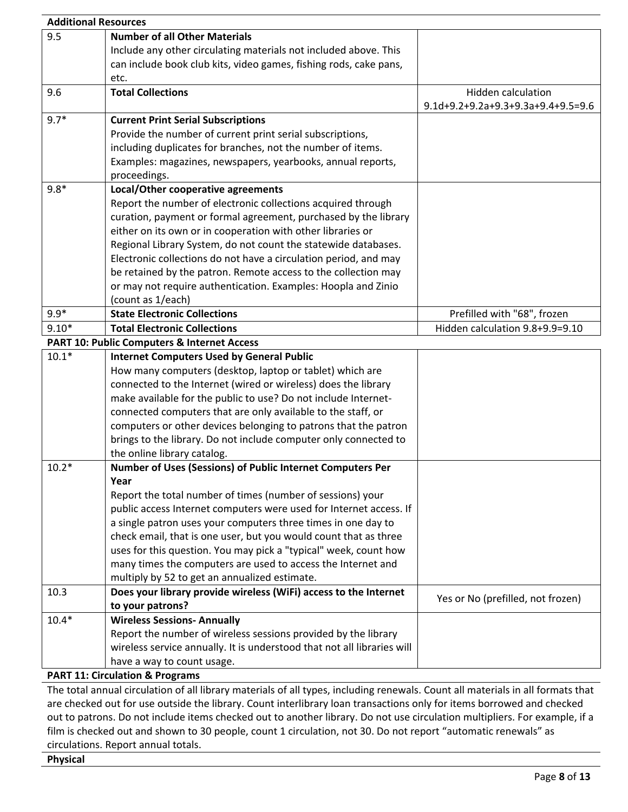| <b>Additional Resources</b> |                                                                          |                                    |
|-----------------------------|--------------------------------------------------------------------------|------------------------------------|
| 9.5                         | <b>Number of all Other Materials</b>                                     |                                    |
|                             | Include any other circulating materials not included above. This         |                                    |
|                             | can include book club kits, video games, fishing rods, cake pans,        |                                    |
|                             | etc.                                                                     |                                    |
| 9.6                         | <b>Total Collections</b>                                                 | <b>Hidden calculation</b>          |
|                             |                                                                          | 9.1d+9.2+9.2a+9.3+9.3a+9.4+9.5=9.6 |
| $9.7*$                      | <b>Current Print Serial Subscriptions</b>                                |                                    |
|                             | Provide the number of current print serial subscriptions,                |                                    |
|                             | including duplicates for branches, not the number of items.              |                                    |
|                             | Examples: magazines, newspapers, yearbooks, annual reports,              |                                    |
|                             | proceedings.                                                             |                                    |
| $9.8*$                      | Local/Other cooperative agreements                                       |                                    |
|                             | Report the number of electronic collections acquired through             |                                    |
|                             | curation, payment or formal agreement, purchased by the library          |                                    |
|                             | either on its own or in cooperation with other libraries or              |                                    |
|                             | Regional Library System, do not count the statewide databases.           |                                    |
|                             | Electronic collections do not have a circulation period, and may         |                                    |
|                             | be retained by the patron. Remote access to the collection may           |                                    |
|                             | or may not require authentication. Examples: Hoopla and Zinio            |                                    |
|                             | (count as 1/each)                                                        |                                    |
| $9.9*$                      | <b>State Electronic Collections</b>                                      | Prefilled with "68", frozen        |
| $9.10*$                     | <b>Total Electronic Collections</b>                                      | Hidden calculation 9.8+9.9=9.10    |
|                             | <b>PART 10: Public Computers &amp; Internet Access</b>                   |                                    |
| $10.1*$                     | <b>Internet Computers Used by General Public</b>                         |                                    |
|                             | How many computers (desktop, laptop or tablet) which are                 |                                    |
|                             | connected to the Internet (wired or wireless) does the library           |                                    |
|                             | make available for the public to use? Do not include Internet-           |                                    |
|                             | connected computers that are only available to the staff, or             |                                    |
|                             | computers or other devices belonging to patrons that the patron          |                                    |
|                             | brings to the library. Do not include computer only connected to         |                                    |
|                             | the online library catalog.                                              |                                    |
| $10.2*$                     | Number of Uses (Sessions) of Public Internet Computers Per               |                                    |
|                             | Year                                                                     |                                    |
|                             | Report the total number of times (number of sessions) your               |                                    |
|                             | public access Internet computers were used for Internet access. If       |                                    |
|                             | a single patron uses your computers three times in one day to            |                                    |
|                             | check email, that is one user, but you would count that as three         |                                    |
|                             | uses for this question. You may pick a "typical" week, count how         |                                    |
|                             | many times the computers are used to access the Internet and             |                                    |
|                             | multiply by 52 to get an annualized estimate.                            |                                    |
| 10.3                        | Does your library provide wireless (WiFi) access to the Internet         | Yes or No (prefilled, not frozen)  |
|                             | to your patrons?                                                         |                                    |
| $10.4*$                     | <b>Wireless Sessions- Annually</b>                                       |                                    |
|                             | Report the number of wireless sessions provided by the library           |                                    |
|                             | wireless service annually. It is understood that not all libraries will  |                                    |
|                             | have a way to count usage.<br><b>PART 11: Circulation &amp; Programs</b> |                                    |
|                             |                                                                          |                                    |

The total annual circulation of all library materials of all types, including renewals. Count all materials in all formats that are checked out for use outside the library. Count interlibrary loan transactions only for items borrowed and checked out to patrons. Do not include items checked out to another library. Do not use circulation multipliers. For example, if a film is checked out and shown to 30 people, count 1 circulation, not 30. Do not report "automatic renewals" as circulations. Report annual totals.

**Physical**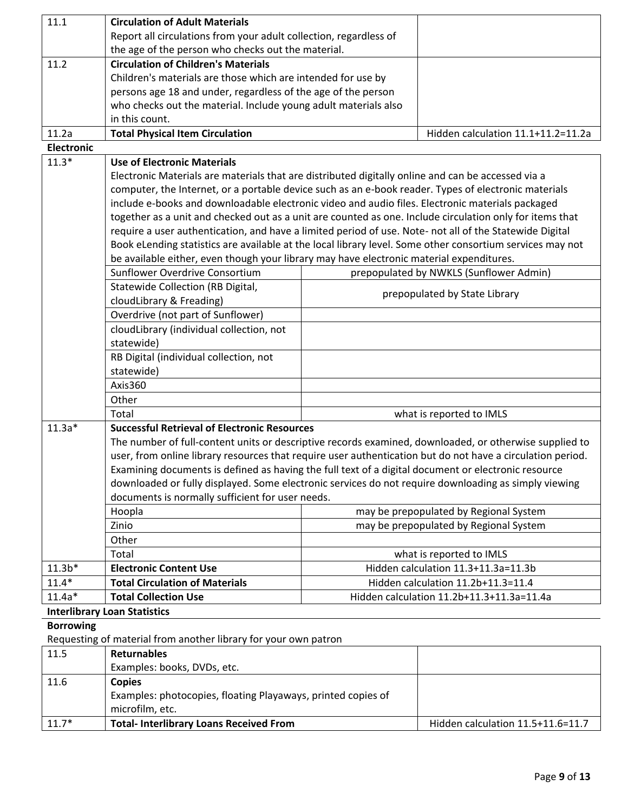| 11.1              | <b>Circulation of Adult Materials</b>                                                                                                                                                                                |                                     |                                         |  |
|-------------------|----------------------------------------------------------------------------------------------------------------------------------------------------------------------------------------------------------------------|-------------------------------------|-----------------------------------------|--|
|                   | Report all circulations from your adult collection, regardless of                                                                                                                                                    |                                     |                                         |  |
|                   | the age of the person who checks out the material.                                                                                                                                                                   |                                     |                                         |  |
| 11.2              | <b>Circulation of Children's Materials</b>                                                                                                                                                                           |                                     |                                         |  |
|                   | Children's materials are those which are intended for use by                                                                                                                                                         |                                     |                                         |  |
|                   | persons age 18 and under, regardless of the age of the person                                                                                                                                                        |                                     |                                         |  |
|                   | who checks out the material. Include young adult materials also                                                                                                                                                      |                                     |                                         |  |
|                   | in this count.                                                                                                                                                                                                       |                                     |                                         |  |
| 11.2a             | <b>Total Physical Item Circulation</b>                                                                                                                                                                               |                                     | Hidden calculation 11.1+11.2=11.2a      |  |
| <b>Electronic</b> |                                                                                                                                                                                                                      |                                     |                                         |  |
| $11.3*$           | <b>Use of Electronic Materials</b>                                                                                                                                                                                   |                                     |                                         |  |
|                   | Electronic Materials are materials that are distributed digitally online and can be accessed via a                                                                                                                   |                                     |                                         |  |
|                   | computer, the Internet, or a portable device such as an e-book reader. Types of electronic materials                                                                                                                 |                                     |                                         |  |
|                   | include e-books and downloadable electronic video and audio files. Electronic materials packaged                                                                                                                     |                                     |                                         |  |
|                   | together as a unit and checked out as a unit are counted as one. Include circulation only for items that                                                                                                             |                                     |                                         |  |
|                   | require a user authentication, and have a limited period of use. Note- not all of the Statewide Digital                                                                                                              |                                     |                                         |  |
|                   | Book eLending statistics are available at the local library level. Some other consortium services may not                                                                                                            |                                     |                                         |  |
|                   | be available either, even though your library may have electronic material expenditures.                                                                                                                             |                                     |                                         |  |
|                   | Sunflower Overdrive Consortium                                                                                                                                                                                       |                                     | prepopulated by NWKLS (Sunflower Admin) |  |
|                   | Statewide Collection (RB Digital,                                                                                                                                                                                    |                                     |                                         |  |
|                   | cloudLibrary & Freading)                                                                                                                                                                                             |                                     | prepopulated by State Library           |  |
|                   | Overdrive (not part of Sunflower)                                                                                                                                                                                    |                                     |                                         |  |
|                   | cloudLibrary (individual collection, not                                                                                                                                                                             |                                     |                                         |  |
|                   | statewide)                                                                                                                                                                                                           |                                     |                                         |  |
|                   | RB Digital (individual collection, not                                                                                                                                                                               |                                     |                                         |  |
|                   | statewide)                                                                                                                                                                                                           |                                     |                                         |  |
|                   | Axis360                                                                                                                                                                                                              |                                     |                                         |  |
|                   | Other                                                                                                                                                                                                                |                                     |                                         |  |
|                   | Total                                                                                                                                                                                                                |                                     | what is reported to IMLS                |  |
| $11.3a*$          | <b>Successful Retrieval of Electronic Resources</b>                                                                                                                                                                  |                                     |                                         |  |
|                   |                                                                                                                                                                                                                      |                                     |                                         |  |
|                   | The number of full-content units or descriptive records examined, downloaded, or otherwise supplied to<br>user, from online library resources that require user authentication but do not have a circulation period. |                                     |                                         |  |
|                   |                                                                                                                                                                                                                      |                                     |                                         |  |
|                   | Examining documents is defined as having the full text of a digital document or electronic resource                                                                                                                  |                                     |                                         |  |
|                   | downloaded or fully displayed. Some electronic services do not require downloading as simply viewing<br>documents is normally sufficient for user needs.                                                             |                                     |                                         |  |
|                   | Hoopla                                                                                                                                                                                                               |                                     | may be prepopulated by Regional System  |  |
|                   | Zinio                                                                                                                                                                                                                |                                     | may be prepopulated by Regional System  |  |
|                   |                                                                                                                                                                                                                      |                                     |                                         |  |
|                   | Other<br>Total                                                                                                                                                                                                       |                                     |                                         |  |
| $11.3b*$          |                                                                                                                                                                                                                      | what is reported to IMLS            |                                         |  |
|                   | <b>Electronic Content Use</b>                                                                                                                                                                                        | Hidden calculation 11.3+11.3a=11.3b |                                         |  |
| $11.4*$           | <b>Total Circulation of Materials</b>                                                                                                                                                                                | Hidden calculation 11.2b+11.3=11.4  |                                         |  |
| $11.4a*$          | <b>Total Collection Use</b><br>Hidden calculation 11.2b+11.3+11.3a=11.4a                                                                                                                                             |                                     |                                         |  |
|                   | <b>Interlibrary Loan Statistics</b>                                                                                                                                                                                  |                                     |                                         |  |
| <b>Borrowing</b>  |                                                                                                                                                                                                                      |                                     |                                         |  |
|                   | Requesting of material from another library for your own patron                                                                                                                                                      |                                     |                                         |  |
| 11.5              | <b>Returnables</b>                                                                                                                                                                                                   |                                     |                                         |  |
|                   | Examples: books, DVDs, etc.                                                                                                                                                                                          |                                     |                                         |  |
| 11.6              | <b>Copies</b>                                                                                                                                                                                                        |                                     |                                         |  |
|                   | Examples: photocopies, floating Playaways, printed copies of                                                                                                                                                         |                                     |                                         |  |
|                   | microfilm, etc.                                                                                                                                                                                                      |                                     |                                         |  |
| $11.7*$           | <b>Total- Interlibrary Loans Received From</b>                                                                                                                                                                       |                                     | Hidden calculation 11.5+11.6=11.7       |  |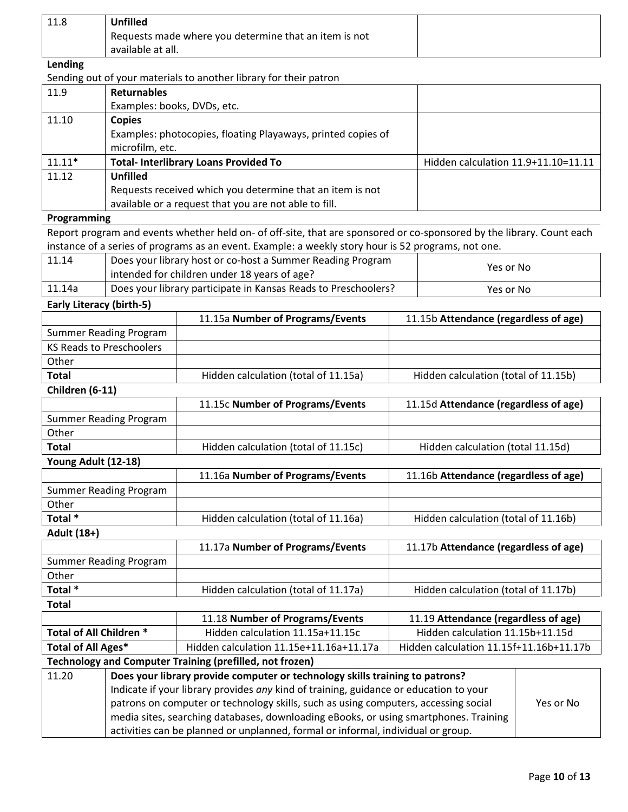| 11.8    | <b>Unfilled</b>                                       |  |
|---------|-------------------------------------------------------|--|
|         | Requests made where you determine that an item is not |  |
|         | available at all.                                     |  |
| Lending |                                                       |  |

### **Lending**

# Sending out of your materials to another library for their patron

| 11.9     | <b>Returnables</b>                                           |                                     |
|----------|--------------------------------------------------------------|-------------------------------------|
|          | Examples: books, DVDs, etc.                                  |                                     |
| 11.10    | <b>Copies</b>                                                |                                     |
|          | Examples: photocopies, floating Playaways, printed copies of |                                     |
|          | microfilm, etc.                                              |                                     |
| $11.11*$ | <b>Total- Interlibrary Loans Provided To</b>                 | Hidden calculation 11.9+11.10=11.11 |
| 11.12    | <b>Unfilled</b>                                              |                                     |
|          | Requests received which you determine that an item is not    |                                     |
|          | available or a request that you are not able to fill.        |                                     |

#### **Programming**

Report program and events whether held on- of off-site, that are sponsored or co-sponsored by the library. Count each instance of a series of programs as an event. Example: a weekly story hour is 52 programs, not one.

| 11.14  | Does your library host or co-host a Summer Reading Program<br>intended for children under 18 years of age? | Yes or No |
|--------|------------------------------------------------------------------------------------------------------------|-----------|
| 11.14a | Does your library participate in Kansas Reads to Preschoolers?                                             | Yes or No |

**Early Literacy (birth-5)**

|                                 |                                                                                      | 11.15a Number of Programs/Events                                                                 | 11.15b Attendance (regardless of age)   |  |
|---------------------------------|--------------------------------------------------------------------------------------|--------------------------------------------------------------------------------------------------|-----------------------------------------|--|
|                                 | <b>Summer Reading Program</b>                                                        |                                                                                                  |                                         |  |
| <b>KS Reads to Preschoolers</b> |                                                                                      |                                                                                                  |                                         |  |
| Other                           |                                                                                      |                                                                                                  |                                         |  |
| <b>Total</b>                    |                                                                                      | Hidden calculation (total of 11.15a)                                                             | Hidden calculation (total of 11.15b)    |  |
| Children (6-11)                 |                                                                                      |                                                                                                  |                                         |  |
|                                 |                                                                                      | 11.15c Number of Programs/Events                                                                 | 11.15d Attendance (regardless of age)   |  |
|                                 | <b>Summer Reading Program</b>                                                        |                                                                                                  |                                         |  |
| Other                           |                                                                                      |                                                                                                  |                                         |  |
| <b>Total</b>                    |                                                                                      | Hidden calculation (total of 11.15c)                                                             | Hidden calculation (total 11.15d)       |  |
| Young Adult (12-18)             |                                                                                      |                                                                                                  |                                         |  |
|                                 |                                                                                      | 11.16a Number of Programs/Events                                                                 | 11.16b Attendance (regardless of age)   |  |
|                                 | <b>Summer Reading Program</b>                                                        |                                                                                                  |                                         |  |
| Other                           |                                                                                      |                                                                                                  |                                         |  |
| Total *                         |                                                                                      | Hidden calculation (total of 11.16a)                                                             | Hidden calculation (total of 11.16b)    |  |
| Adult (18+)                     |                                                                                      |                                                                                                  |                                         |  |
|                                 |                                                                                      | 11.17a Number of Programs/Events                                                                 | 11.17b Attendance (regardless of age)   |  |
| <b>Summer Reading Program</b>   |                                                                                      |                                                                                                  |                                         |  |
| Other                           |                                                                                      |                                                                                                  |                                         |  |
| Total *                         |                                                                                      | Hidden calculation (total of 11.17a)                                                             | Hidden calculation (total of 11.17b)    |  |
| <b>Total</b>                    |                                                                                      |                                                                                                  |                                         |  |
|                                 |                                                                                      | 11.18 Number of Programs/Events                                                                  | 11.19 Attendance (regardless of age)    |  |
| Total of All Children *         |                                                                                      | Hidden calculation 11.15a+11.15c                                                                 | Hidden calculation 11.15b+11.15d        |  |
| <b>Total of All Ages*</b>       |                                                                                      | Hidden calculation 11.15e+11.16a+11.17a                                                          | Hidden calculation 11.15f+11.16b+11.17b |  |
|                                 |                                                                                      | <b>Technology and Computer Training (prefilled, not frozen)</b>                                  |                                         |  |
| 11.20                           |                                                                                      | Does your library provide computer or technology skills training to patrons?                     |                                         |  |
|                                 |                                                                                      | Indicate if your library provides any kind of training, guidance or education to your            |                                         |  |
|                                 |                                                                                      | patrons on computer or technology skills, such as using computers, accessing social<br>Yes or No |                                         |  |
|                                 | media sites, searching databases, downloading eBooks, or using smartphones. Training |                                                                                                  |                                         |  |
|                                 | activities can be planned or unplanned, formal or informal, individual or group.     |                                                                                                  |                                         |  |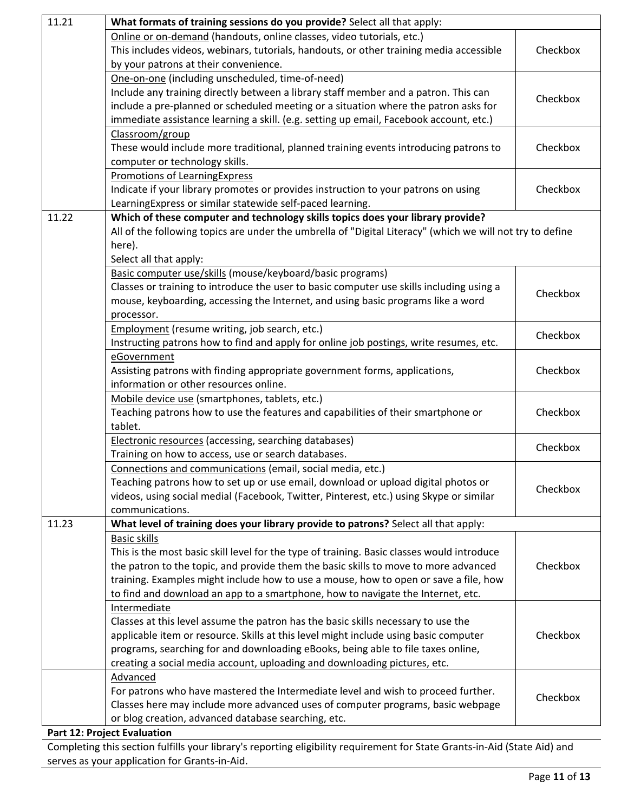| 11.21 | What formats of training sessions do you provide? Select all that apply:                                                                        |          |  |  |
|-------|-------------------------------------------------------------------------------------------------------------------------------------------------|----------|--|--|
|       | Online or on-demand (handouts, online classes, video tutorials, etc.)                                                                           |          |  |  |
|       | This includes videos, webinars, tutorials, handouts, or other training media accessible                                                         | Checkbox |  |  |
|       | by your patrons at their convenience.                                                                                                           |          |  |  |
|       | One-on-one (including unscheduled, time-of-need)                                                                                                |          |  |  |
|       | Include any training directly between a library staff member and a patron. This can                                                             |          |  |  |
|       | include a pre-planned or scheduled meeting or a situation where the patron asks for                                                             | Checkbox |  |  |
|       | immediate assistance learning a skill. (e.g. setting up email, Facebook account, etc.)                                                          |          |  |  |
|       | Classroom/group                                                                                                                                 |          |  |  |
|       |                                                                                                                                                 | Checkbox |  |  |
|       | These would include more traditional, planned training events introducing patrons to                                                            |          |  |  |
|       | computer or technology skills.                                                                                                                  |          |  |  |
|       | <b>Promotions of LearningExpress</b>                                                                                                            |          |  |  |
|       | Indicate if your library promotes or provides instruction to your patrons on using<br>LearningExpress or similar statewide self-paced learning. | Checkbox |  |  |
| 11.22 | Which of these computer and technology skills topics does your library provide?                                                                 |          |  |  |
|       | All of the following topics are under the umbrella of "Digital Literacy" (which we will not try to define                                       |          |  |  |
|       | here).                                                                                                                                          |          |  |  |
|       | Select all that apply:                                                                                                                          |          |  |  |
|       |                                                                                                                                                 |          |  |  |
|       | Basic computer use/skills (mouse/keyboard/basic programs)                                                                                       |          |  |  |
|       | Classes or training to introduce the user to basic computer use skills including using a                                                        | Checkbox |  |  |
|       | mouse, keyboarding, accessing the Internet, and using basic programs like a word                                                                |          |  |  |
|       | processor.                                                                                                                                      |          |  |  |
|       | <b>Employment</b> (resume writing, job search, etc.)                                                                                            | Checkbox |  |  |
|       | Instructing patrons how to find and apply for online job postings, write resumes, etc.                                                          |          |  |  |
|       | eGovernment                                                                                                                                     |          |  |  |
|       | Assisting patrons with finding appropriate government forms, applications,                                                                      | Checkbox |  |  |
|       | information or other resources online.                                                                                                          |          |  |  |
|       | Mobile device use (smartphones, tablets, etc.)                                                                                                  |          |  |  |
|       | Teaching patrons how to use the features and capabilities of their smartphone or                                                                | Checkbox |  |  |
|       | tablet.                                                                                                                                         |          |  |  |
|       | <b>Electronic resources</b> (accessing, searching databases)                                                                                    |          |  |  |
|       | Training on how to access, use or search databases.                                                                                             | Checkbox |  |  |
|       | Connections and communications (email, social media, etc.)                                                                                      |          |  |  |
|       | Teaching patrons how to set up or use email, download or upload digital photos or                                                               |          |  |  |
|       | videos, using social medial (Facebook, Twitter, Pinterest, etc.) using Skype or similar                                                         | Checkbox |  |  |
|       | communications.                                                                                                                                 |          |  |  |
| 11.23 | What level of training does your library provide to patrons? Select all that apply:                                                             |          |  |  |
|       | <b>Basic skills</b>                                                                                                                             |          |  |  |
|       | This is the most basic skill level for the type of training. Basic classes would introduce                                                      |          |  |  |
|       | the patron to the topic, and provide them the basic skills to move to more advanced                                                             | Checkbox |  |  |
|       | training. Examples might include how to use a mouse, how to open or save a file, how                                                            |          |  |  |
|       |                                                                                                                                                 |          |  |  |
|       | to find and download an app to a smartphone, how to navigate the Internet, etc.                                                                 |          |  |  |
|       | Intermediate                                                                                                                                    |          |  |  |
|       | Classes at this level assume the patron has the basic skills necessary to use the                                                               |          |  |  |
|       | applicable item or resource. Skills at this level might include using basic computer                                                            | Checkbox |  |  |
|       | programs, searching for and downloading eBooks, being able to file taxes online,                                                                |          |  |  |
|       | creating a social media account, uploading and downloading pictures, etc.                                                                       |          |  |  |
|       | Advanced                                                                                                                                        |          |  |  |
|       | For patrons who have mastered the Intermediate level and wish to proceed further.                                                               | Checkbox |  |  |
|       | Classes here may include more advanced uses of computer programs, basic webpage                                                                 |          |  |  |
|       | or blog creation, advanced database searching, etc.                                                                                             |          |  |  |
|       | Part 12: Project Evaluation                                                                                                                     |          |  |  |

Completing this section fulfills your library's reporting eligibility requirement for State Grants-in-Aid (State Aid) and serves as your application for Grants-in-Aid.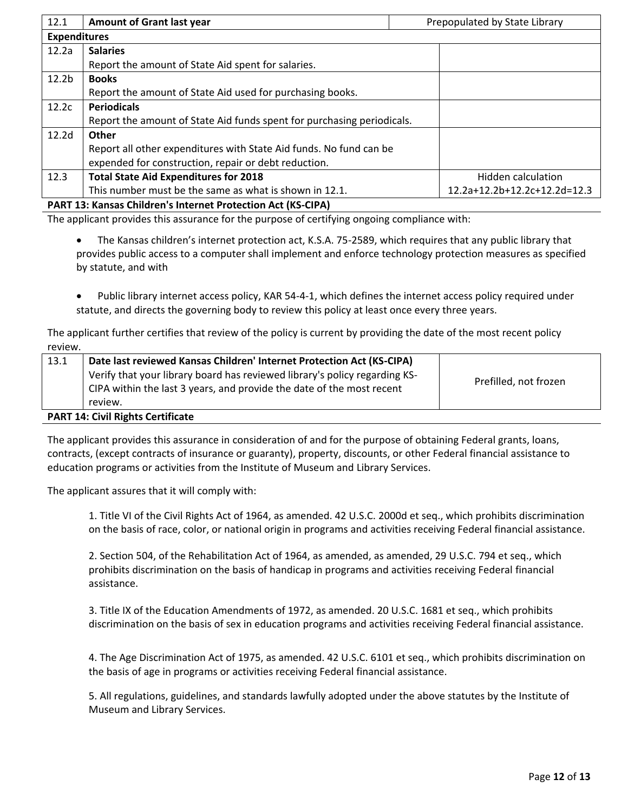| 12.1                                                                | <b>Amount of Grant last year</b><br>Prepopulated by State Library      |                              |
|---------------------------------------------------------------------|------------------------------------------------------------------------|------------------------------|
| <b>Expenditures</b>                                                 |                                                                        |                              |
| 12.2a                                                               | <b>Salaries</b>                                                        |                              |
|                                                                     | Report the amount of State Aid spent for salaries.                     |                              |
| 12.2 <sub>b</sub>                                                   | <b>Books</b>                                                           |                              |
|                                                                     | Report the amount of State Aid used for purchasing books.              |                              |
| 12.2c                                                               | <b>Periodicals</b>                                                     |                              |
|                                                                     | Report the amount of State Aid funds spent for purchasing periodicals. |                              |
| 12.2 <sub>d</sub>                                                   | Other                                                                  |                              |
|                                                                     | Report all other expenditures with State Aid funds. No fund can be     |                              |
|                                                                     | expended for construction, repair or debt reduction.                   |                              |
| 12.3                                                                | <b>Total State Aid Expenditures for 2018</b>                           | Hidden calculation           |
|                                                                     | This number must be the same as what is shown in 12.1.                 | 12.2a+12.2b+12.2c+12.2d=12.3 |
| <b>PART 13: Kansas Children's Internet Protection Act (KS-CIPA)</b> |                                                                        |                              |

The applicant provides this assurance for the purpose of certifying ongoing compliance with:

 The Kansas children's internet protection act, K.S.A. 75-2589, which requires that any public library that provides public access to a computer shall implement and enforce technology protection measures as specified by statute, and with

 Public library internet access policy, KAR 54-4-1, which defines the internet access policy required under statute, and directs the governing body to review this policy at least once every three years.

The applicant further certifies that review of the policy is current by providing the date of the most recent policy review.

| 13.1 | Date last reviewed Kansas Children' Internet Protection Act (KS-CIPA)      |                       |
|------|----------------------------------------------------------------------------|-----------------------|
|      | Verify that your library board has reviewed library's policy regarding KS- |                       |
|      | CIPA within the last 3 years, and provide the date of the most recent      | Prefilled, not frozen |
|      | review.                                                                    |                       |
|      |                                                                            |                       |

**PART 14: Civil Rights Certificate**

The applicant provides this assurance in consideration of and for the purpose of obtaining Federal grants, loans, contracts, (except contracts of insurance or guaranty), property, discounts, or other Federal financial assistance to education programs or activities from the Institute of Museum and Library Services.

The applicant assures that it will comply with:

1. Title VI of the Civil Rights Act of 1964, as amended. 42 U.S.C. 2000d et seq., which prohibits discrimination on the basis of race, color, or national origin in programs and activities receiving Federal financial assistance.

2. Section 504, of the Rehabilitation Act of 1964, as amended, as amended, 29 U.S.C. 794 et seq., which prohibits discrimination on the basis of handicap in programs and activities receiving Federal financial assistance.

3. Title IX of the Education Amendments of 1972, as amended. 20 U.S.C. 1681 et seq., which prohibits discrimination on the basis of sex in education programs and activities receiving Federal financial assistance.

4. The Age Discrimination Act of 1975, as amended. 42 U.S.C. 6101 et seq., which prohibits discrimination on the basis of age in programs or activities receiving Federal financial assistance.

5. All regulations, guidelines, and standards lawfully adopted under the above statutes by the Institute of Museum and Library Services.